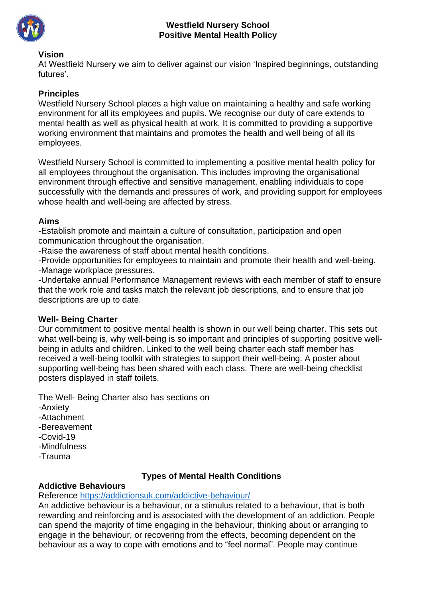

#### **Westfield Nursery School Positive Mental Health Policy**

#### **Vision**

At Westfield Nursery we aim to deliver against our vision 'Inspired beginnings, outstanding futures'.

# **Principles**

Westfield Nursery School places a high value on maintaining a healthy and safe working environment for all its employees and pupils. We recognise our duty of care extends to mental health as well as physical health at work. It is committed to providing a supportive working environment that maintains and promotes the health and well being of all its employees.

Westfield Nursery School is committed to implementing a positive mental health policy for all employees throughout the organisation. This includes improving the organisational environment through effective and sensitive management, enabling individuals to cope successfully with the demands and pressures of work, and providing support for employees whose health and well-being are affected by stress.

#### **Aims**

-Establish promote and maintain a culture of consultation, participation and open communication throughout the organisation.

-Raise the awareness of staff about mental health conditions.

-Provide opportunities for employees to maintain and promote their health and well-being. -Manage workplace pressures.

-Undertake annual Performance Management reviews with each member of staff to ensure that the work role and tasks match the relevant job descriptions, and to ensure that job descriptions are up to date.

# **Well- Being Charter**

Our commitment to positive mental health is shown in our well being charter. This sets out what well-being is, why well-being is so important and principles of supporting positive wellbeing in adults and children. Linked to the well being charter each staff member has received a well-being toolkit with strategies to support their well-being. A poster about supporting well-being has been shared with each class. There are well-being checklist posters displayed in staff toilets.

The Well- Being Charter also has sections on -Anxiety -Attachment -Bereavement -Covid-19 -Mindfulness -Trauma

# **Types of Mental Health Conditions**

# **Addictive Behaviours**

# Reference<https://addictionsuk.com/addictive-behaviour/>

An addictive behaviour is a behaviour, or a stimulus related to a behaviour, that is both rewarding and reinforcing and is associated with the development of an addiction. People can spend the majority of time engaging in the behaviour, thinking about or arranging to engage in the behaviour, or recovering from the effects, becoming dependent on the behaviour as a way to cope with emotions and to "feel normal". People may continue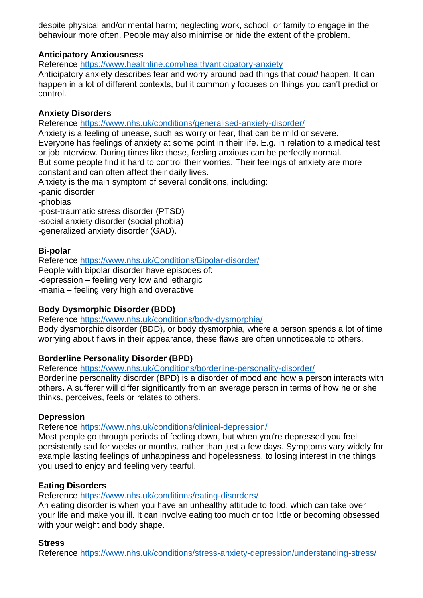despite physical and/or mental harm; neglecting work, school, or family to engage in the behaviour more often. People may also minimise or hide the extent of the problem.

# **Anticipatory Anxiousness**

Reference<https://www.healthline.com/health/anticipatory-anxiety>

Anticipatory anxiety describes fear and worry around bad things that *could* happen. It can happen in a lot of different contexts, but it commonly focuses on things you can't predict or control.

# **Anxiety Disorders**

Reference<https://www.nhs.uk/conditions/generalised-anxiety-disorder/>

Anxiety is a feeling of unease, such as worry or fear, that can be mild or severe. Everyone has feelings of anxiety at some point in their life. E.g. in relation to a medical test or job interview. During times like these, feeling anxious can be perfectly normal. But some people find it hard to control their worries. Their feelings of anxiety are more constant and can often affect their daily lives.

Anxiety is the main symptom of several conditions, including:

[-panic disorder](https://www.nhs.uk/conditions/panic-disorder/)

[-phobias](https://www.nhs.uk/conditions/phobias/)

[-post-traumatic stress disorder \(PTSD\)](https://www.nhs.uk/conditions/post-traumatic-stress-disorder-ptsd/)

[-social anxiety disorder \(social phobia\)](https://www.nhs.uk/conditions/social-anxiety/)

-generalized anxiety disorder (GAD).

# **Bi-polar**

Reference<https://www.nhs.uk/Conditions/Bipolar-disorder/> People with bipolar disorder have episodes of: -depression – feeling very low and lethargic -mania – feeling very high and overactive

# **Body Dysmorphic Disorder (BDD)**

Reference<https://www.nhs.uk/conditions/body-dysmorphia/>

Body dysmorphic disorder (BDD), or body dysmorphia, where a person spends a lot of time worrying about flaws in their appearance, these flaws are often unnoticeable to others.

# **Borderline Personality Disorder (BPD)**

Reference<https://www.nhs.uk/Conditions/borderline-personality-disorder/>

Borderline personality disorder (BPD) is a disorder of mood and how a person interacts with others**.** A sufferer will differ significantly from an average person in terms of how he or she thinks, perceives, feels or relates to others.

# **Depression**

Reference<https://www.nhs.uk/conditions/clinical-depression/>

Most people go through periods of feeling down, but when you're depressed you feel persistently sad for weeks or months, rather than just a few days. Symptoms vary widely for example lasting feelings of unhappiness and hopelessness, to losing interest in the things you used to enjoy and feeling very tearful.

# **Eating Disorders**

Reference<https://www.nhs.uk/conditions/eating-disorders/>

An eating disorder is when you have an unhealthy attitude to food, which can take over your life and make you ill. It can involve eating too much or too little or becoming obsessed with your weight and body shape.

# **Stress**

Reference<https://www.nhs.uk/conditions/stress-anxiety-depression/understanding-stress/>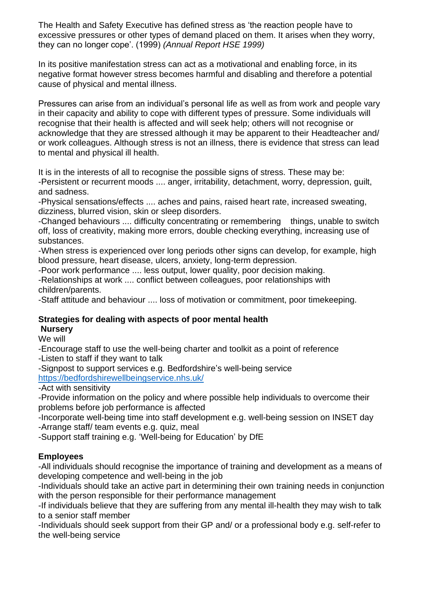The Health and Safety Executive has defined stress as 'the reaction people have to excessive pressures or other types of demand placed on them. It arises when they worry, they can no longer cope'. (1999) *(Annual Report HSE 1999)*

In its positive manifestation stress can act as a motivational and enabling force, in its negative format however stress becomes harmful and disabling and therefore a potential cause of physical and mental illness.

Pressures can arise from an individual's personal life as well as from work and people vary in their capacity and ability to cope with different types of pressure. Some individuals will recognise that their health is affected and will seek help; others will not recognise or acknowledge that they are stressed although it may be apparent to their Headteacher and/ or work colleagues. Although stress is not an illness, there is evidence that stress can lead to mental and physical ill health.

It is in the interests of all to recognise the possible signs of stress. These may be: -Persistent or recurrent moods .... anger, irritability, detachment, worry, depression, guilt, and sadness.

-Physical sensations/effects .... aches and pains, raised heart rate, increased sweating, dizziness, blurred vision, skin or sleep disorders.

-Changed behaviours .... difficulty concentrating or remembering things, unable to switch off, loss of creativity, making more errors, double checking everything, increasing use of substances.

-When stress is experienced over long periods other signs can develop, for example, high blood pressure, heart disease, ulcers, anxiety, long-term depression.

-Poor work performance .... less output, lower quality, poor decision making.

-Relationships at work .... conflict between colleagues, poor relationships with children/parents.

-Staff attitude and behaviour .... loss of motivation or commitment, poor timekeeping.

# **Strategies for dealing with aspects of poor mental health**

**Nursery** 

We will

-Encourage staff to use the well-being charter and toolkit as a point of reference -Listen to staff if they want to talk

-Signpost to support services e.g. Bedfordshire's well-being service

<https://bedfordshirewellbeingservice.nhs.uk/>

-Act with sensitivity

-Provide information on the policy and where possible help individuals to overcome their problems before job performance is affected

-Incorporate well-being time into staff development e.g. well-being session on INSET day -Arrange staff/ team events e.g. quiz, meal

-Support staff training e.g. 'Well-being for Education' by DfE

# **Employees**

-All individuals should recognise the importance of training and development as a means of developing competence and well-being in the job

-Individuals should take an active part in determining their own training needs in conjunction with the person responsible for their performance management

-If individuals believe that they are suffering from any mental ill-health they may wish to talk to a senior staff member

-Individuals should seek support from their GP and/ or a professional body e.g. self-refer to the well-being service